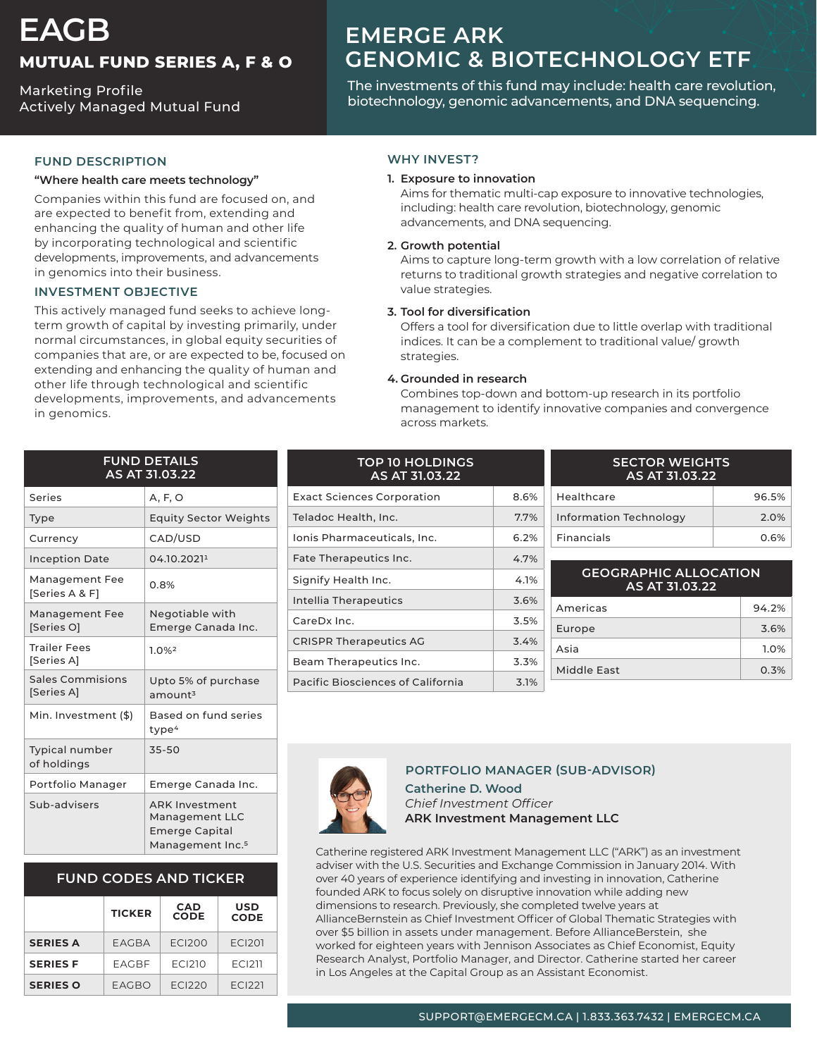# **EAGB MUTUAL FUND SERIES A, F & O**

**Marketing Profile** Actively Managed Mutual Fund

## **EMERGE ARK** *GENOMIC & BIOTECHNOLOGY ETF*

The investments of this fund may include: health care revolution, biotechnology, genomic advancements, and DNA sequencing.

### **FUND DESCRIPTION**

#### "Where health care meets technology"

Companies within this fund are focused on, and are expected to benefit from, extending and enhancing the quality of human and other life by incorporating technological and scientific developments, improvements, and advancements in genomics into their business.

#### **INVESTMENT OBJECTIVE**

term growth of capital by investing primarily, under This actively managed fund seeks to achieve longnormal circumstances, in global equity securities of companies that are, or are expected to be, focused on extending and enhancing the quality of human and other life through technological and scientific developments, improvements, and advancements in genomics.

#### **WHY INVEST?**

#### **1. Exposure to innovation**

Aims for thematic multi-cap exposure to innovative technologies, including: health care revolution, biotechnology, genomic advancements, and DNA sequencing.

#### **potential Growth 2.**

Aims to capture long-term growth with a low correlation of relative returns to traditional growth strategies and negative correlation to value strategies.

#### **3.** Tool for diversification

Offers a tool for diversification due to little overlap with traditional indices. It can be a complement to traditional value/growth strategies.

#### **4.** Grounded in research

Combines top-down and bottom-up research in its portfolio management to identify innovative companies and convergence across markets.

| <b>FUND DETAILS</b><br>AS AT 31.03.22 |                                                                                                  |  |  |  |
|---------------------------------------|--------------------------------------------------------------------------------------------------|--|--|--|
| Series                                | A, F, O                                                                                          |  |  |  |
| <b>Type</b>                           | <b>Equity Sector Weights</b>                                                                     |  |  |  |
| Currency                              | CAD/USD                                                                                          |  |  |  |
| <b>Inception Date</b>                 | 04.10.20211                                                                                      |  |  |  |
| Management Fee<br>[Series A & F]      | 0.8%                                                                                             |  |  |  |
| Management Fee<br>[Series O]          | Negotiable with<br>Emerge Canada Inc.                                                            |  |  |  |
| <b>Trailer Fees</b><br>[Series A]     | 1.0%2                                                                                            |  |  |  |
| Sales Commisions<br>[Series A]        | Upto 5% of purchase<br>amount <sup>3</sup>                                                       |  |  |  |
| Min. Investment (\$)                  | Based on fund series<br>type <sup>4</sup>                                                        |  |  |  |
| <b>Typical number</b><br>of holdings  | 35-50                                                                                            |  |  |  |
| Portfolio Manager                     | Emerge Canada Inc.                                                                               |  |  |  |
| Sub-advisers                          | <b>ARK Investment</b><br>Management LLC<br><b>Emerge Capital</b><br>Management Inc. <sup>5</sup> |  |  |  |

## **FUND CODES AND TICKER**

|                 | <b>TICKER</b> | <b>CAD</b><br><b>CODE</b> | <b>USD</b><br><b>CODE</b> |
|-----------------|---------------|---------------------------|---------------------------|
| <b>SERIES A</b> | EAGBA         | <b>ECI200</b>             | <b>ECI201</b>             |
| <b>SERIES F</b> | <b>EAGBF</b>  | FCI210                    | <b>ECI211</b>             |
| <b>SERIES O</b> | EAGBO         | FCI <sub>220</sub>        | FCI <sub>221</sub>        |

| AS AT 31.03.22                    |      |  |
|-----------------------------------|------|--|
| <b>Exact Sciences Corporation</b> | 8.6% |  |
| Teladoc Health, Inc.              | 7.7% |  |
| Ionis Pharmaceuticals, Inc.       | 6.2% |  |
| Fate Therapeutics Inc.            | 4.7% |  |
| Signify Health Inc.               | 4.1% |  |
| Intellia Therapeutics             | 3.6% |  |
| CareDx Inc.                       | 3.5% |  |
| <b>CRISPR Therapeutics AG</b>     | 3.4% |  |
| Beam Therapeutics Inc.            | 3.3% |  |
| Pacific Biosciences of California | 3.1% |  |

**HOLDINGS** 

| <b>SECTOR WEIGHTS</b><br>AS AT 31.03.22 |       |  |
|-----------------------------------------|-------|--|
| Healthcare                              | 96.5% |  |
| <b>Information Technology</b>           | 2.0%  |  |
| Financials                              | 0.6%  |  |

| <b>GEOGRAPHIC ALLOCATION</b><br>AS AT 31.03.22 |       |  |
|------------------------------------------------|-------|--|
| Americas                                       | 94.2% |  |
| Europe                                         | 3.6%  |  |
| Asia                                           | 1.0%  |  |
| Middle Fast                                    | 0.3%  |  |



## **PORTFOLIO MANAGER (SUB-ADVISOR)**

**Catherine D. Wood** *Officer Investment Chief* **ARK Investment Management LLC** 

Catherine registered ARK Investment Management LLC ("ARK") as an investment adviser with the U.S. Securities and Exchange Commission in January 2014. With over 40 years of experience identifying and investing in innovation, Catherine founded ARK to focus solely on disruptive innovation while adding new dimensions to research. Previously, she completed twelve years at AllianceBernstein as Chief Investment Officer of Global Thematic Strategies with over \$5 billion in assets under management. Before AllianceBerstein, she worked for eighteen years with Jennison Associates as Chief Economist, Equity Research Analyst, Portfolio Manager, and Director. Catherine started her career in Los Angeles at the Capital Group as an Assistant Economist.